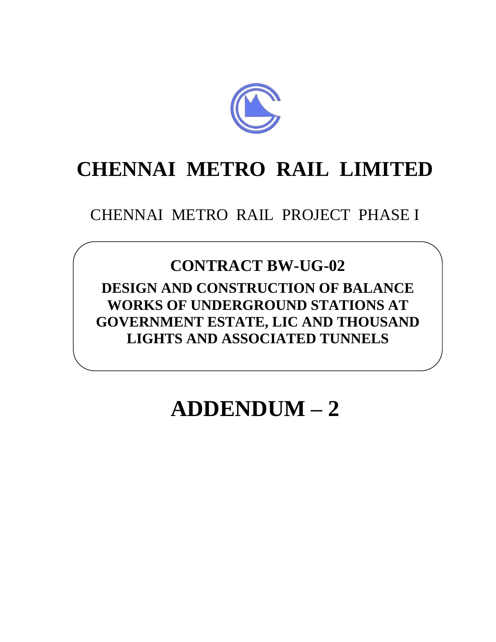

## **CHENNAI METRO RAIL LIMITED**

## CHENNAI METRO RAIL PROJECT PHASE I

## **CONTRACT BW-UG-02**

**DESIGN AND CONSTRUCTION OF BALANCE WORKS OF UNDERGROUND STATIONS AT GOVERNMENT ESTATE, LIC AND THOUSAND LIGHTS AND ASSOCIATED TUNNELS**

## **ADDENDUM – 2**